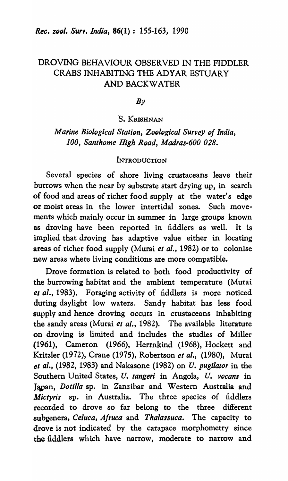## DROVING BEHAVIOUR OBSERVED IN THE FIDDLER CRABS INHABITING THE ADYAR ESTUARY AND BACKWATER

*By* 

### *·S.* KRISHNAN

*Marine Biological Station, Zoological Survey oj India, 100, Santhome High RQad, Madras-600 028.* 

## **INTRODUCTION**

Several species of shore living crustaceans leave their burrows when the near by substrate start drying up, in search of food and areas of richer food supply at the water's edge or moist areas in the lower intertidal zones. Such movements which mainly occur in summer in large groups known as droving have been reported in fiddlers as well. It is implied that droving has adaptive value either in locating areas of richer food supply (Murai *et al.,* 1982) or to colonise new areas where living conditions are more compatible.

Drove formation is related to both food productivity of the burrowing habitat and the ambient temperature (Murai *et al.,* 1983). Foraging activity of fiddlers is more noticed during daylight low waters. Sandy habitat has less food supply and hence droving occurs in crustaceans inhabiting the sandy areas (Murai *et al.,* 1982). The available literature on droving is limited and includes the studies of Miller (1961), Cameron (1966), Herrnkind (1968), Hockett and Kritzler (1972), Crane (1975), Robertson *et* 01., (1980), Murai *et al.,* (1982, 1983) and Nakasone (1982) on *U. pugilator* in the Southern United States, *U. tangeri* in Angola, *U. vocans* in Japan, *Dotilla* sp. in Zanzibar and Western Australia and *Mictyris* sp. in Australia. The three species of fiddlers recorded to drove so far belong to the three different subgenera, *Celuca, A/ruca* and *Thalassuca.* The capacity to drove is not indicated by the carapace morphometry since the fiddlers which have narrow, moderate to narrow and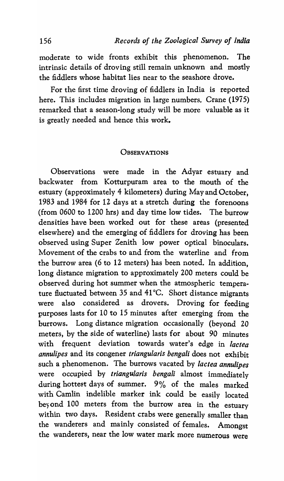moderate to wide fronts exhibit this phenomenon. The intrinsic details of droving still remain unknown and mostly the fiddlers whose habitat lies near to the seashore drove.

For the first time droving of fiddlers in India is reported here. This includes migration in large numbers. Crane (1975) remarked that a season-long study will be more valuable as it is greatly needed and hence this work.

#### **OBSERVATIONS**

Observations were made in the Adyar estuary and backwater from Kotturpuram area to the mouth of the estuary (approximately 4 kilometers) during May and October, 1983 and 1984 for 12 days at a stretch during the forenoons (from 0600 to 1200 hrs) and day time low tides. The burrow densities have been worked out for these areas (presented elsewhere) and the emerging of fiddlers for droving has been observed using Super Zenith low power optical binoculars. Movement of the crabs to and from the waterline and from the burrow area (6 to 12 meters) has been noted. In addition, long distance migration to approximately 200 meters could be observed during hot summer when the atmospheric temperature fluctuated between 35 and 41°C. Short distance migrants were also considered as drovers. Droving for feeding purposes lasts for 10 to 15 minutes after emerging from the burrows. Long distance migration occasionally (beyond 20 meters, by the side of waterline) lasts for about 90 minutes with frequent deviation towards water's edge in *lactea annulipes* and its congener *triangularis bengali* does not exhibit such a phenomenon. The burrows vacated by *lactea annulipes* were occupied by *triangularis bengali* almost immediately during hottest days of summer. 9% of the males marked with Camlin indelible marker ink could be easily located beyond 100 meters from the burrow area in the estuary within two days. Resident crabs were generally smaller than the wanderers and mainly consisted of females. Amongst the wanderers, near the low water mark more numerous were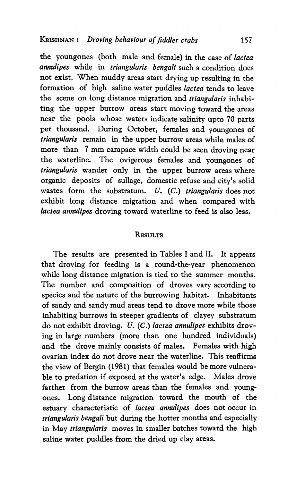the youngones (both male and female) in the case of *lactea annulipes* while in *triangularis bengali* such a condition does not exist. When muddy areas start drying up resulting in the formation of high saline water puddles *lactea* tends to leave the scene on long distance migration and *triangularis* inhabiting the upper burrow areas start moving toward the areas near the pools whose waters indicate salinity upto 70 parts per thousand. During October, females and youngones of *triangularis* remain in the upper burrow areas while males of more than 7 mm carapace width could be seen droving near the waterline. The ovigerous females and youngones of *triangularis* wander only in the upper burrow areas where organic deposits of sullage, domestic refuse and city's solid wastes form the substratum. *U. (C.) triangularis* does not exhibit long distance migration and when compared with *lactea annulipes* droving toward waterline to feed is also less.

#### **RESULTS**

The results are presented in Tables I and II. It appears that droving for feeding is a round-the-year phenomenon while long distance migration is tied to the summer months. The number and composition of droves vary according to species and the nature of the burrowing habitat. Inhabitants of sandy and sandy mud areas tend to drove more while those inhabiting burrows in steeper gradients of clayey substratum do not exhibit droving. *U.* (C.) *lactea annulipes* exhibits droving in large numbers (more than one hundred individuals) and the drove mainly consists of males. Females with high ovarian index do not drove near the waterline. This reaffirms the view of Bergin (1981) that females would be more vulnerable to predation if exposed at the water's edge. Males drove farther from the burrow areas than the females and youngones. Long distance migration toward the mouth of the estuary characteristic of *lactea annulipes* does not occur in *triangularis bengali* but during the hotter months and especially in May *triangularis* moves in smaller batches toward the high saline water puddles from the dried up clay areas.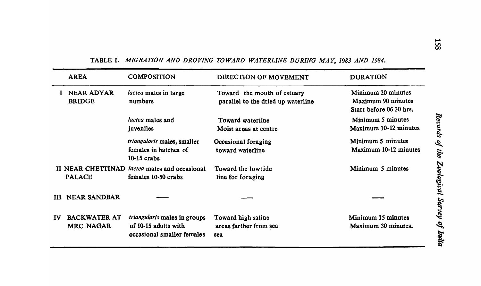|           | <b>AREA</b>                             | <b>COMPOSITION</b>                                                                        | DIRECTION OF MOVEMENT                                             | <b>DURATION</b>                                                     |
|-----------|-----------------------------------------|-------------------------------------------------------------------------------------------|-------------------------------------------------------------------|---------------------------------------------------------------------|
|           | <b>NEAR ADYAR</b><br><b>BRIDGE</b>      | <i>lactea</i> males in large<br>numbers                                                   | Toward the mouth of estuary<br>parallel to the dried up waterline | Minimum 20 minutes<br>Maximum 90 minutes<br>Start before 06 30 hrs. |
|           |                                         | lactea males and<br>juveniles                                                             | Toward waterline<br>Moist areas at centre                         | Minimum 5 minutes<br>Maximum 10-12 minutes                          |
|           |                                         | triangularis males, smaller<br>females in batches of<br>$10-15$ crabs                     | Occasional foraging<br>toward waterline                           | Minimum 5 minutes<br>Maximum 10-12 minutes                          |
|           | <b>PALACE</b>                           | II NEAR CHETTINAD <i>lactea</i> males and occasional<br>females 10-50 crabs               | Toward the lowtide<br>line for foraging                           | Minimum 5 minutes                                                   |
| ш         | <b>NEAR SANDBAR</b>                     |                                                                                           |                                                                   |                                                                     |
| <b>IV</b> | <b>BACKWATER AT</b><br><b>MRC NAGAR</b> | <i>triangularis</i> males in groups<br>of 10-15 adults with<br>occasional smaller females | Toward high saline<br>areas farther from sea<br>sea               | Minimum 15 minutes<br>Maximum 30 minutes.                           |

## TABLE I. MIGRATION AND DROVING TOWARD WATERLINE DURING MAY, 1983 AND 1984.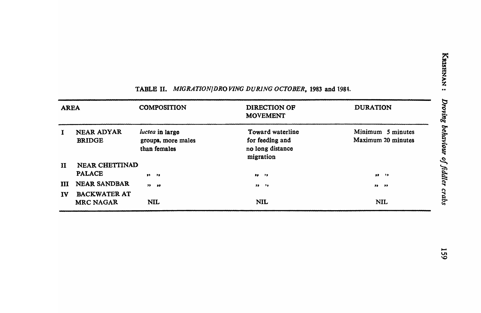| <b>AREA</b>  |                                         | <b>COMPOSITION</b>                                    | DIRECTION OF<br><b>MOVEMENT</b>                                      | <b>DURATION</b>                         |
|--------------|-----------------------------------------|-------------------------------------------------------|----------------------------------------------------------------------|-----------------------------------------|
| $\bf{I}$     | <b>NEAR ADYAR</b><br><b>BRIDGE</b>      | luctea in large<br>groups, more males<br>than females | Toward waterline<br>for feeding and<br>no long distance<br>migration | Minimum 5 minutes<br>Maximum 20 minutes |
| $\mathbf{H}$ | NEAR CHETTINAD                          |                                                       |                                                                      |                                         |
|              | <b>PALACE</b>                           | $93 - 79$                                             | 99.79                                                                | $32 - 22$                               |
| Ш            | <b>NEAR SANDBAR</b>                     | $99 - 99$                                             | $33 - 25$                                                            | $33 \t33$                               |
| IV           | <b>BACKWATER AT</b><br><b>MRC NAGAR</b> | <b>NIL</b>                                            | <b>NIL</b>                                                           | <b>NIL</b>                              |

# TABLE II. *MIGRATION/DROVING DURING OCTOBER*, 1983 and 1984.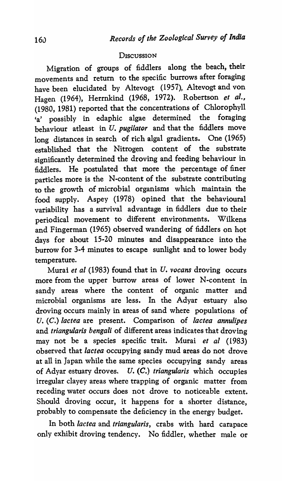### **DISCUSSION**

Migration of groups of fiddlers along the beach, their movements and return to the specific burrows after foraging have been elucidated by Altevogt (1957), Altevogt and von Hagen (1964), Herrnkind (1968, 1972). Robertson *et al.,*  (1980, 1981) reported that the concentrations of Chlorophyll 'a' possibly in edaphic algae determined the foraging behaviour atleast in U. *pugilator* and that the fiddlers move long distances in search of rich algal gradients. One (1965) established that the Nitrogen content of the substrate significantly determined the droving and feeding behaviour in fiddlers. He postulated that more the percentage of finer particles more is the N-content of the substrate contributing to the growth of microbial organisms which maintain the food supply. Aspey (1978) opined that the behavioural variability has a survival advantage in fiddlers due to their periodical movement to different environments. Wilkens and Fingerman (1965) observed wandering of fiddlers on hot days for about 15-20 minutes and disappearance into the burrow for 3-4 minutes to escape sunlight and to lower body temperature.

Murai *et al* (1983) found that in U. *vocans* droving occurs more from the upper burrow areas of lower N-content in sandy areas where the content of organic matter and microbial organisms are less. In the Adyar estuary also droving occurs mainly in areas of sand where populations of U. (C.) *lactea* are present. Comparison of *lactea annulipes*  and *triangularis bengali* of different areas indicates that droving may not be a species specific trait. Murai *et al (1983)*  observed that *lactea* occupying sandy mud areas do not drove at all in Japan while the same species occupying sandy areas of Adyar estuary droves.. U. (C.) *triangularis* which occupies irregular clayey areas where trapping of organic matter from receding water occurs does not drove to noticeable extent. Should droving occur, it happens for a shorter distance, probably to compensate the deficiency in the energy budget.

In both *lac tea* and *triangularis,* crabs with hard carapace only exhibit droving tendency. No fiddler, whether male or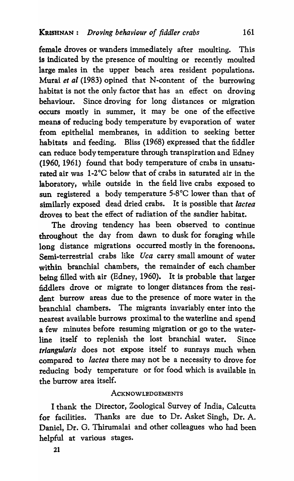female droves or wanders immediately after moulting. This is indicated by the presence of moulting or recently moulted large males in the upper beach area resident populations. Murai *et al* (1983) opined that N-content of the burrowing habitat is not the only factor that has an effect on droving behaviour. Since droving for long distances or migration occurs mostly in summer, it may be one of the effective means of reducing body temperature by evaporation of water from epithelial membranes, in addition to seeking better habitats and feeding. Bliss (1968) expressed that the fiddler can reduce body temperature through transpiration and Edney (1960, 1961) found that body temperature of crabs in unsaturated air was 1-2°C below that of crabs in saturated air in the laboratory, while outside in the field live crabs exposed to sun registered a body temperature 5·8°C lower than that of similarly exposed dead dried crabs. It is possible that *lactea*  droves to beat the effect of radiation of the sandier habitat.

The droving tendency has been observed to continue throughout the day from dawn to dusk for foraging while long distance migrations occurred mostly in the forenoons. Semi-terrestrial crabs like *Uca* carry small amount of water within branchial chambers, the remainder of each chamber being filled with air (Edney, 1960). It is probable that larger fiddlers drove or migrate to longer distances from the resident burrow areas due to the presence of more water in the branchial chambers. The migrants invariably enter into the nearest available burrows proximal to the waterline and spend a few minutes before resuming migration or go to the waterline itself to replenish the lost branchial water. Since *triangularis* does not expose itself to sunrays much when compared to *lactea* there may not be a necessity to drove for reducing body temperature or for food which is available in the burrow area itself.

### **ACKNOWLEDGEMENTS**

I thank the Director, Zoological Survey of India, Calcutta for facilities. Thanks are due to Dr. Asket Singh, Dr. A. Daniel, Dr. G. Thirumalai and other colleagues who had been helpful at various stages.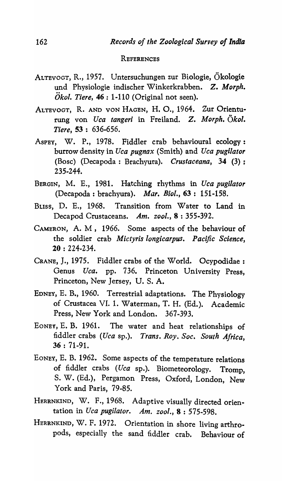#### **REFERENCES**

- ALTEVOGT, R., 1957. Untersuchungen zur Biologie, Okologie und Physiologie indischer Winkerkrabben. Z. *Morph.*   $\ddot{O}$ *kol. Tiere,* 46 : 1-110 (Original not seen).
- ALTEVOGT, R. AND VON HAGEN, H. O., 1964. Zur Orienturung von *Uca tangeri* in Freiland. Z. *Morph. Okol. Tiere,* 53 : 636-656.
- ASPEY, W. P., 1978. Fiddler crab behavioural ecology: burrow density in *Uca pugnax* (Smith) and *Uca pugilator*  (Bose) (Decapoda: Brachyura). *Crustaceana,* 34 (3); 235-244.
- BERGIN, M. E., 1981. Hatching rhythms in *Uca pugilator*  (Decapoda : brachyura). *Mar. BioI.,* 63: 151-158.
- BLISS, D. E., 1968. Transition from Water to Land in Decapod Crustaceans. *Am. zool.,* 8 : 355-392.
- CAMERON, A. M, 1966. Some aspects of the behaviour of the soldier crab *Mictyris longicarpus. Pacific Science,*  20 : 224-234.
- CRANE, J., 1975. Fiddler crabs of the World. Ocypodidae: Genus *Uca.* pp. 736. Princeton University Press, Princeton, New Jersey, U. S. A.
- EONEY, E. B., 1960. Terrestrial adaptations. The Physiology of Crustacea VI. 1. Waterman, T. H. (Ed.). Academic Press, New York and London. 367-393.
- EONEY, E. B. 1961. The water and heat relationships of fiddler crabs *(Uea* sp.). *Trans. Roy. Soc. South Africa,*  36 : 71-91.
- EONEY, E. B. 1962. Some aspects of the temperature relations of fiddler crabs *(Uea* sp.). Biometeorology. Tromp, S. W. (Ed.), Pergamon Press, Oxford, London, New York and Paris, 79-85.
- HERRNKIND, W. F., 1968. Adaptive visually directed orientation in *Uca pugilator. Am. zool.,* 8 : 575-598.
- HERRNKINO, W. F. 1972. Orientation in shore living arthropods, especially the sand fiddler crab. Behaviour of